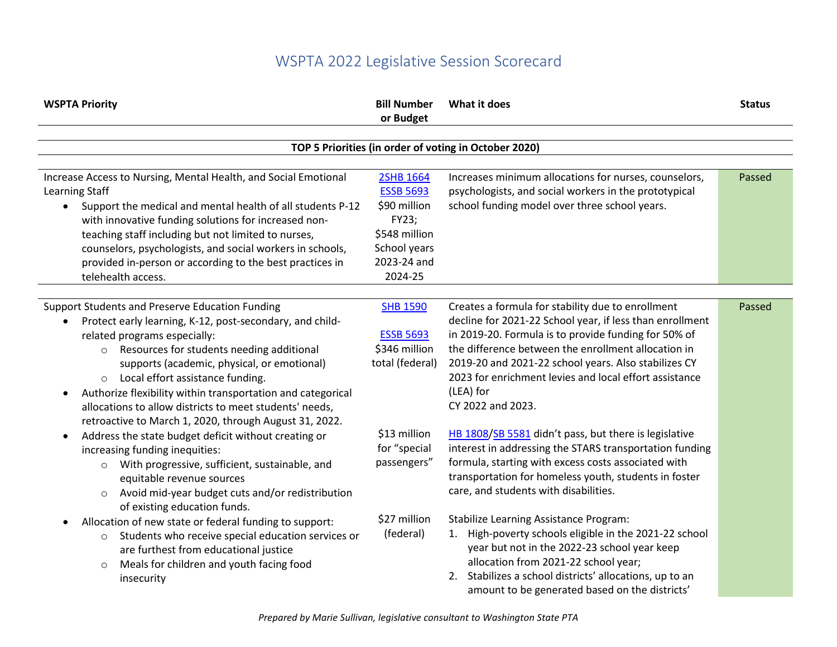## WSPTA 2022 Legislative Session Scorecard

| <b>WSPTA Priority</b>                                                                                                                                                                                                                                                                                                                                                                                                                                                                   | <b>Bill Number</b><br>or Budget                                                                                   | What it does                                                                                                                                                                                                                                                                                                                                                                     | <b>Status</b> |
|-----------------------------------------------------------------------------------------------------------------------------------------------------------------------------------------------------------------------------------------------------------------------------------------------------------------------------------------------------------------------------------------------------------------------------------------------------------------------------------------|-------------------------------------------------------------------------------------------------------------------|----------------------------------------------------------------------------------------------------------------------------------------------------------------------------------------------------------------------------------------------------------------------------------------------------------------------------------------------------------------------------------|---------------|
|                                                                                                                                                                                                                                                                                                                                                                                                                                                                                         |                                                                                                                   | TOP 5 Priorities (in order of voting in October 2020)                                                                                                                                                                                                                                                                                                                            |               |
|                                                                                                                                                                                                                                                                                                                                                                                                                                                                                         |                                                                                                                   |                                                                                                                                                                                                                                                                                                                                                                                  |               |
| Increase Access to Nursing, Mental Health, and Social Emotional<br>Learning Staff<br>Support the medical and mental health of all students P-12<br>$\bullet$<br>with innovative funding solutions for increased non-<br>teaching staff including but not limited to nurses,<br>counselors, psychologists, and social workers in schools,<br>provided in-person or according to the best practices in<br>telehealth access.                                                              | 2SHB 1664<br><b>ESSB 5693</b><br>\$90 million<br>FY23;<br>\$548 million<br>School years<br>2023-24 and<br>2024-25 | Increases minimum allocations for nurses, counselors,<br>psychologists, and social workers in the prototypical<br>school funding model over three school years.                                                                                                                                                                                                                  | Passed        |
|                                                                                                                                                                                                                                                                                                                                                                                                                                                                                         |                                                                                                                   |                                                                                                                                                                                                                                                                                                                                                                                  |               |
| <b>Support Students and Preserve Education Funding</b><br>Protect early learning, K-12, post-secondary, and child-<br>related programs especially:<br>o Resources for students needing additional<br>supports (academic, physical, or emotional)<br>o Local effort assistance funding.<br>Authorize flexibility within transportation and categorical<br>$\bullet$<br>allocations to allow districts to meet students' needs,<br>retroactive to March 1, 2020, through August 31, 2022. | <b>SHB 1590</b><br><b>ESSB 5693</b><br>\$346 million<br>total (federal)                                           | Creates a formula for stability due to enrollment<br>decline for 2021-22 School year, if less than enrollment<br>in 2019-20. Formula is to provide funding for 50% of<br>the difference between the enrollment allocation in<br>2019-20 and 2021-22 school years. Also stabilizes CY<br>2023 for enrichment levies and local effort assistance<br>(LEA) for<br>CY 2022 and 2023. | Passed        |
| Address the state budget deficit without creating or<br>$\bullet$<br>increasing funding inequities:<br>With progressive, sufficient, sustainable, and<br>$\circ$<br>equitable revenue sources<br>Avoid mid-year budget cuts and/or redistribution<br>$\circ$<br>of existing education funds.                                                                                                                                                                                            | \$13 million<br>for "special<br>passengers"                                                                       | HB 1808/SB 5581 didn't pass, but there is legislative<br>interest in addressing the STARS transportation funding<br>formula, starting with excess costs associated with<br>transportation for homeless youth, students in foster<br>care, and students with disabilities.                                                                                                        |               |
| Allocation of new state or federal funding to support:<br>$\bullet$<br>Students who receive special education services or<br>$\circ$<br>are furthest from educational justice<br>Meals for children and youth facing food<br>$\circ$<br>insecurity                                                                                                                                                                                                                                      | \$27 million<br>(federal)                                                                                         | <b>Stabilize Learning Assistance Program:</b><br>High-poverty schools eligible in the 2021-22 school<br>1.<br>year but not in the 2022-23 school year keep<br>allocation from 2021-22 school year;<br>2. Stabilizes a school districts' allocations, up to an<br>amount to be generated based on the districts'                                                                  |               |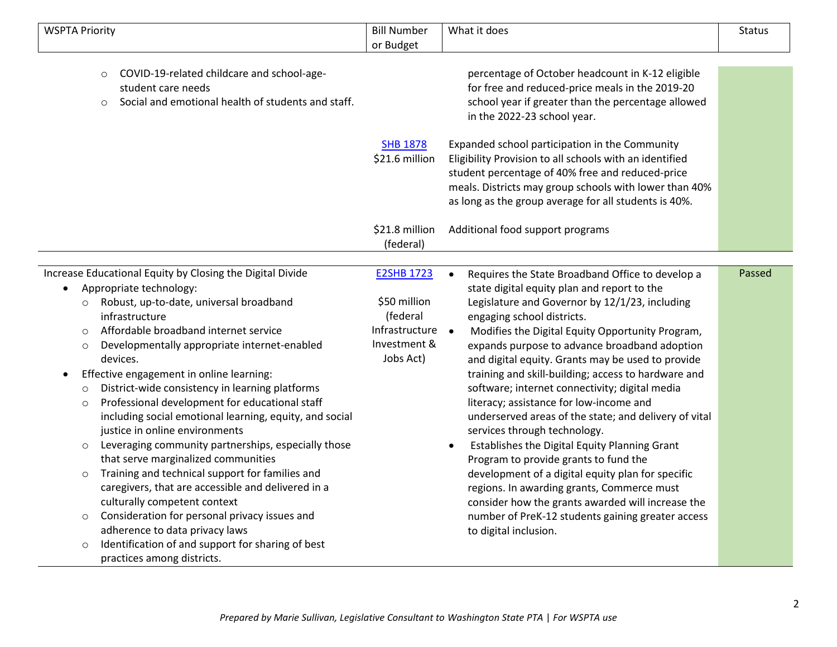| <b>WSPTA Priority</b>                                                                                                                        | <b>Bill Number</b><br>or Budget | What it does                                                                                                                                                                                                                               | <b>Status</b> |
|----------------------------------------------------------------------------------------------------------------------------------------------|---------------------------------|--------------------------------------------------------------------------------------------------------------------------------------------------------------------------------------------------------------------------------------------|---------------|
| COVID-19-related childcare and school-age-<br>$\circ$<br>student care needs<br>Social and emotional health of students and staff.<br>$\circ$ | <b>SHB 1878</b>                 | percentage of October headcount in K-12 eligible<br>for free and reduced-price meals in the 2019-20<br>school year if greater than the percentage allowed<br>in the 2022-23 school year.<br>Expanded school participation in the Community |               |
|                                                                                                                                              | \$21.6 million                  | Eligibility Provision to all schools with an identified<br>student percentage of 40% free and reduced-price<br>meals. Districts may group schools with lower than 40%<br>as long as the group average for all students is 40%.             |               |
|                                                                                                                                              | \$21.8 million<br>(federal)     | Additional food support programs                                                                                                                                                                                                           |               |
| Increase Educational Equity by Closing the Digital Divide                                                                                    | <b>E2SHB 1723</b>               | Requires the State Broadband Office to develop a                                                                                                                                                                                           | Passed        |
| Appropriate technology:                                                                                                                      |                                 | state digital equity plan and report to the                                                                                                                                                                                                |               |
| Robust, up-to-date, universal broadband<br>$\circ$<br>infrastructure                                                                         | \$50 million<br>(federal        | Legislature and Governor by 12/1/23, including<br>engaging school districts.                                                                                                                                                               |               |
| Affordable broadband internet service<br>$\circ$                                                                                             | Infrastructure                  | Modifies the Digital Equity Opportunity Program,                                                                                                                                                                                           |               |
| Developmentally appropriate internet-enabled<br>$\circ$<br>devices.                                                                          | Investment &<br>Jobs Act)       | expands purpose to advance broadband adoption<br>and digital equity. Grants may be used to provide                                                                                                                                         |               |
| Effective engagement in online learning:                                                                                                     |                                 | training and skill-building; access to hardware and                                                                                                                                                                                        |               |
| District-wide consistency in learning platforms<br>$\circ$                                                                                   |                                 | software; internet connectivity; digital media                                                                                                                                                                                             |               |
| Professional development for educational staff<br>$\circ$                                                                                    |                                 | literacy; assistance for low-income and                                                                                                                                                                                                    |               |
| including social emotional learning, equity, and social<br>justice in online environments                                                    |                                 | underserved areas of the state; and delivery of vital<br>services through technology.                                                                                                                                                      |               |
| Leveraging community partnerships, especially those<br>$\circ$                                                                               |                                 | Establishes the Digital Equity Planning Grant                                                                                                                                                                                              |               |
| that serve marginalized communities                                                                                                          |                                 | Program to provide grants to fund the                                                                                                                                                                                                      |               |
| Training and technical support for families and<br>$\circ$                                                                                   |                                 | development of a digital equity plan for specific                                                                                                                                                                                          |               |
| caregivers, that are accessible and delivered in a                                                                                           |                                 | regions. In awarding grants, Commerce must                                                                                                                                                                                                 |               |
| culturally competent context                                                                                                                 |                                 | consider how the grants awarded will increase the                                                                                                                                                                                          |               |
| Consideration for personal privacy issues and<br>$\circ$                                                                                     |                                 | number of PreK-12 students gaining greater access                                                                                                                                                                                          |               |
| adherence to data privacy laws                                                                                                               |                                 | to digital inclusion.                                                                                                                                                                                                                      |               |
| Identification of and support for sharing of best<br>$\circ$                                                                                 |                                 |                                                                                                                                                                                                                                            |               |
| practices among districts.                                                                                                                   |                                 |                                                                                                                                                                                                                                            |               |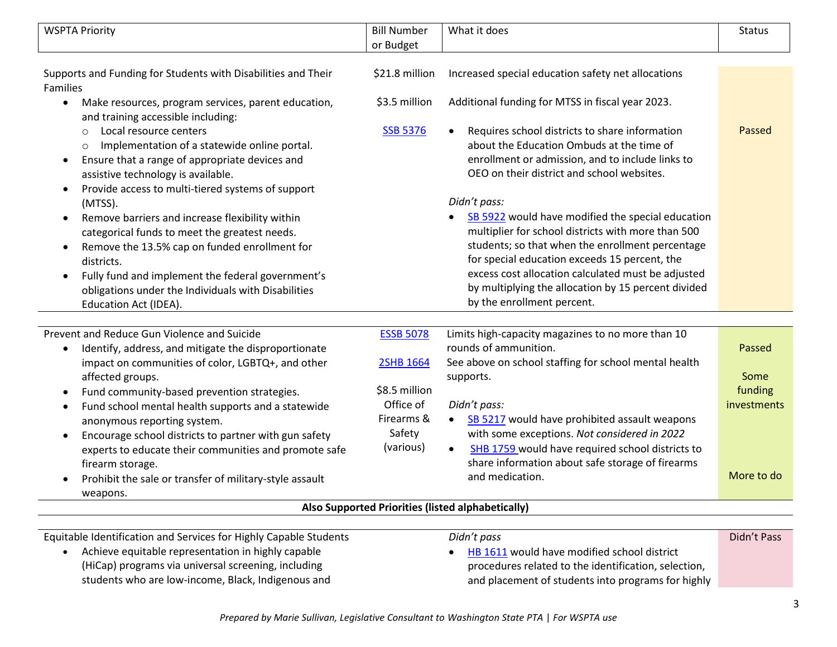| <b>WSPTA Priority</b>                                                                                                                                                                                                                                                                                                                                                                                                                                                                                                                                                                                                         | <b>Bill Number</b>                       | What it does                                                                                                                                                                                                                                                                                                                                                                                                                                                                                                                                                             | <b>Status</b>                  |
|-------------------------------------------------------------------------------------------------------------------------------------------------------------------------------------------------------------------------------------------------------------------------------------------------------------------------------------------------------------------------------------------------------------------------------------------------------------------------------------------------------------------------------------------------------------------------------------------------------------------------------|------------------------------------------|--------------------------------------------------------------------------------------------------------------------------------------------------------------------------------------------------------------------------------------------------------------------------------------------------------------------------------------------------------------------------------------------------------------------------------------------------------------------------------------------------------------------------------------------------------------------------|--------------------------------|
|                                                                                                                                                                                                                                                                                                                                                                                                                                                                                                                                                                                                                               | or Budget                                |                                                                                                                                                                                                                                                                                                                                                                                                                                                                                                                                                                          |                                |
|                                                                                                                                                                                                                                                                                                                                                                                                                                                                                                                                                                                                                               |                                          |                                                                                                                                                                                                                                                                                                                                                                                                                                                                                                                                                                          |                                |
| Supports and Funding for Students with Disabilities and Their<br>Families                                                                                                                                                                                                                                                                                                                                                                                                                                                                                                                                                     | \$21.8 million                           | Increased special education safety net allocations                                                                                                                                                                                                                                                                                                                                                                                                                                                                                                                       |                                |
| Make resources, program services, parent education,<br>$\bullet$<br>and training accessible including:                                                                                                                                                                                                                                                                                                                                                                                                                                                                                                                        | \$3.5 million                            | Additional funding for MTSS in fiscal year 2023.                                                                                                                                                                                                                                                                                                                                                                                                                                                                                                                         |                                |
| Local resource centers<br>$\circ$<br>Implementation of a statewide online portal.<br>$\circ$<br>Ensure that a range of appropriate devices and<br>$\bullet$<br>assistive technology is available.<br>Provide access to multi-tiered systems of support<br>$\bullet$<br>(MTSS).<br>Remove barriers and increase flexibility within<br>$\bullet$<br>categorical funds to meet the greatest needs.<br>Remove the 13.5% cap on funded enrollment for<br>$\bullet$<br>districts.<br>Fully fund and implement the federal government's<br>$\bullet$<br>obligations under the Individuals with Disabilities<br>Education Act (IDEA). | <b>SSB 5376</b>                          | Requires school districts to share information<br>about the Education Ombuds at the time of<br>enrollment or admission, and to include links to<br>OEO on their district and school websites.<br>Didn't pass:<br>SB 5922 would have modified the special education<br>multiplier for school districts with more than 500<br>students; so that when the enrollment percentage<br>for special education exceeds 15 percent, the<br>excess cost allocation calculated must be adjusted<br>by multiplying the allocation by 15 percent divided<br>by the enrollment percent. | Passed                         |
|                                                                                                                                                                                                                                                                                                                                                                                                                                                                                                                                                                                                                               |                                          |                                                                                                                                                                                                                                                                                                                                                                                                                                                                                                                                                                          |                                |
| Prevent and Reduce Gun Violence and Suicide<br>Identify, address, and mitigate the disproportionate<br>$\bullet$<br>impact on communities of color, LGBTQ+, and other                                                                                                                                                                                                                                                                                                                                                                                                                                                         | <b>ESSB 5078</b><br>2SHB 1664            | Limits high-capacity magazines to no more than 10<br>rounds of ammunition.<br>See above on school staffing for school mental health                                                                                                                                                                                                                                                                                                                                                                                                                                      | Passed                         |
| affected groups.<br>Fund community-based prevention strategies.<br>$\bullet$<br>Fund school mental health supports and a statewide<br>$\bullet$<br>anonymous reporting system.                                                                                                                                                                                                                                                                                                                                                                                                                                                | \$8.5 million<br>Office of<br>Firearms & | supports.<br>Didn't pass:<br>SB 5217 would have prohibited assault weapons                                                                                                                                                                                                                                                                                                                                                                                                                                                                                               | Some<br>funding<br>investments |
| Encourage school districts to partner with gun safety<br>$\bullet$<br>experts to educate their communities and promote safe<br>firearm storage.<br>Prohibit the sale or transfer of military-style assault<br>$\bullet$                                                                                                                                                                                                                                                                                                                                                                                                       | Safety<br>(various)                      | with some exceptions. Not considered in 2022<br>SHB 1759 would have required school districts to<br>$\bullet$<br>share information about safe storage of firearms<br>and medication.                                                                                                                                                                                                                                                                                                                                                                                     | More to do                     |
| weapons.                                                                                                                                                                                                                                                                                                                                                                                                                                                                                                                                                                                                                      |                                          | Also Supported Priorities (listed alphabetically)                                                                                                                                                                                                                                                                                                                                                                                                                                                                                                                        |                                |
|                                                                                                                                                                                                                                                                                                                                                                                                                                                                                                                                                                                                                               |                                          |                                                                                                                                                                                                                                                                                                                                                                                                                                                                                                                                                                          |                                |
| Equitable Identification and Services for Highly Capable Students                                                                                                                                                                                                                                                                                                                                                                                                                                                                                                                                                             |                                          | Didn't pass                                                                                                                                                                                                                                                                                                                                                                                                                                                                                                                                                              | Didn't Pass                    |

ble Identification and Services for Highly Capable Students • Achieve equitable representation in highly capable

(HiCap) programs via universal screening, including students who are low-income, Black, Indigenous and

## *Didn't pass*

• [HB 1611](https://app.leg.wa.gov/billsummary?BillNumber=1611&Initiative=false&Year=2021) would have modified school district procedures related to the identification, selection, and placement of students into programs for highly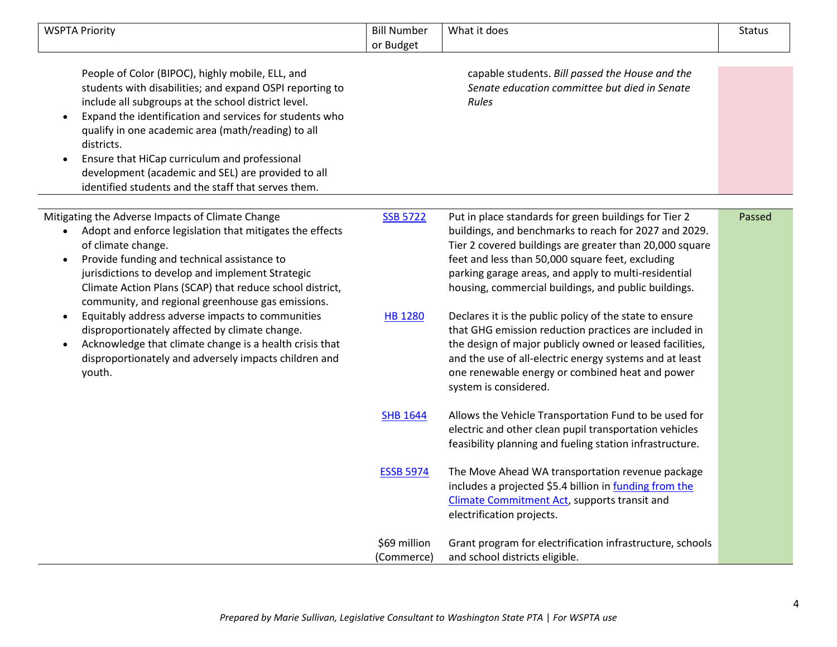| <b>WSPTA Priority</b>                                                                                                                                                                                                                                                                                                                                                                                                                                                                      | <b>Bill Number</b><br>or Budget | What it does                                                                                                                                                                                                                                                                                                                                  | <b>Status</b> |
|--------------------------------------------------------------------------------------------------------------------------------------------------------------------------------------------------------------------------------------------------------------------------------------------------------------------------------------------------------------------------------------------------------------------------------------------------------------------------------------------|---------------------------------|-----------------------------------------------------------------------------------------------------------------------------------------------------------------------------------------------------------------------------------------------------------------------------------------------------------------------------------------------|---------------|
| People of Color (BIPOC), highly mobile, ELL, and<br>students with disabilities; and expand OSPI reporting to<br>include all subgroups at the school district level.<br>Expand the identification and services for students who<br>$\bullet$<br>qualify in one academic area (math/reading) to all<br>districts.<br>Ensure that HiCap curriculum and professional<br>$\bullet$<br>development (academic and SEL) are provided to all<br>identified students and the staff that serves them. |                                 | capable students. Bill passed the House and the<br>Senate education committee but died in Senate<br><b>Rules</b>                                                                                                                                                                                                                              |               |
| Mitigating the Adverse Impacts of Climate Change<br>Adopt and enforce legislation that mitigates the effects<br>of climate change.<br>Provide funding and technical assistance to<br>$\bullet$<br>jurisdictions to develop and implement Strategic<br>Climate Action Plans (SCAP) that reduce school district,<br>community, and regional greenhouse gas emissions.                                                                                                                        | <b>SSB 5722</b>                 | Put in place standards for green buildings for Tier 2<br>buildings, and benchmarks to reach for 2027 and 2029.<br>Tier 2 covered buildings are greater than 20,000 square<br>feet and less than 50,000 square feet, excluding<br>parking garage areas, and apply to multi-residential<br>housing, commercial buildings, and public buildings. | Passed        |
| Equitably address adverse impacts to communities<br>$\bullet$<br>disproportionately affected by climate change.<br>Acknowledge that climate change is a health crisis that<br>$\bullet$<br>disproportionately and adversely impacts children and<br>youth.                                                                                                                                                                                                                                 | <b>HB 1280</b>                  | Declares it is the public policy of the state to ensure<br>that GHG emission reduction practices are included in<br>the design of major publicly owned or leased facilities,<br>and the use of all-electric energy systems and at least<br>one renewable energy or combined heat and power<br>system is considered.                           |               |
|                                                                                                                                                                                                                                                                                                                                                                                                                                                                                            | <b>SHB 1644</b>                 | Allows the Vehicle Transportation Fund to be used for<br>electric and other clean pupil transportation vehicles<br>feasibility planning and fueling station infrastructure.                                                                                                                                                                   |               |
|                                                                                                                                                                                                                                                                                                                                                                                                                                                                                            | <b>ESSB 5974</b>                | The Move Ahead WA transportation revenue package<br>includes a projected \$5.4 billion in funding from the<br><b>Climate Commitment Act, supports transit and</b><br>electrification projects.                                                                                                                                                |               |
|                                                                                                                                                                                                                                                                                                                                                                                                                                                                                            | \$69 million<br>(Commerce)      | Grant program for electrification infrastructure, schools<br>and school districts eligible.                                                                                                                                                                                                                                                   |               |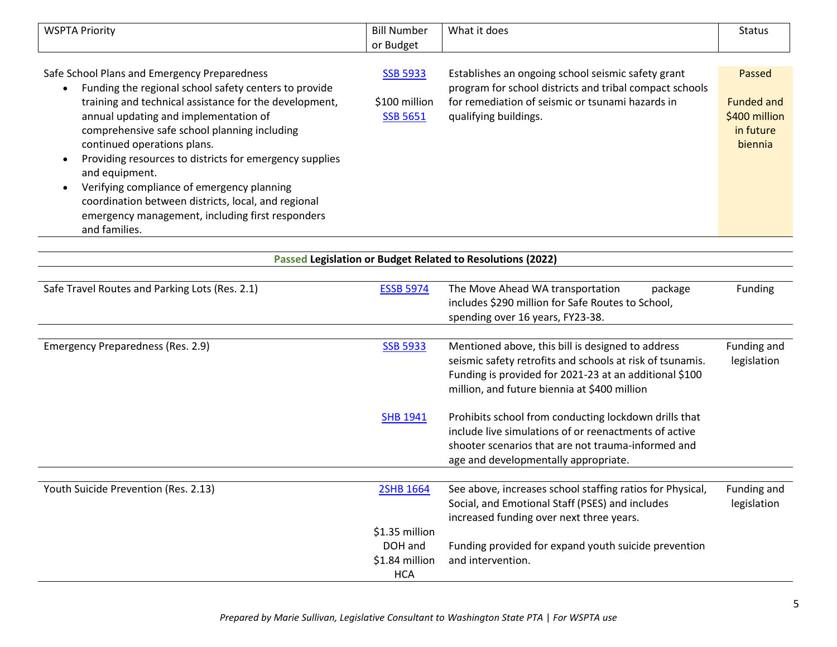| <b>WSPTA Priority</b>                                                                                              | <b>Bill Number</b> | What it does                                                                                                  | <b>Status</b>     |
|--------------------------------------------------------------------------------------------------------------------|--------------------|---------------------------------------------------------------------------------------------------------------|-------------------|
|                                                                                                                    | or Budget          |                                                                                                               |                   |
|                                                                                                                    |                    |                                                                                                               |                   |
| Safe School Plans and Emergency Preparedness<br>Funding the regional school safety centers to provide<br>$\bullet$ | <b>SSB 5933</b>    | Establishes an ongoing school seismic safety grant<br>program for school districts and tribal compact schools | Passed            |
| training and technical assistance for the development,                                                             | \$100 million      | for remediation of seismic or tsunami hazards in                                                              | <b>Funded and</b> |
| annual updating and implementation of                                                                              | <b>SSB 5651</b>    | qualifying buildings.                                                                                         | \$400 million     |
| comprehensive safe school planning including                                                                       |                    |                                                                                                               | in future         |
| continued operations plans.                                                                                        |                    |                                                                                                               | biennia           |
| Providing resources to districts for emergency supplies<br>and equipment.                                          |                    |                                                                                                               |                   |
| Verifying compliance of emergency planning                                                                         |                    |                                                                                                               |                   |
| coordination between districts, local, and regional                                                                |                    |                                                                                                               |                   |
| emergency management, including first responders                                                                   |                    |                                                                                                               |                   |
| and families.                                                                                                      |                    |                                                                                                               |                   |

|                                                | <b>Passed Legislation or Budget Related to Resolutions (2022)</b> |                                                                                            |                |  |
|------------------------------------------------|-------------------------------------------------------------------|--------------------------------------------------------------------------------------------|----------------|--|
|                                                |                                                                   |                                                                                            |                |  |
| Safe Travel Routes and Parking Lots (Res. 2.1) | <b>ESSB 5974</b>                                                  | The Move Ahead WA transportation<br>package                                                | <b>Funding</b> |  |
|                                                |                                                                   | includes \$290 million for Safe Routes to School,                                          |                |  |
|                                                |                                                                   | spending over 16 years, FY23-38.                                                           |                |  |
| Emergency Preparedness (Res. 2.9)              | <b>SSB 5933</b>                                                   | Mentioned above, this bill is designed to address                                          | Funding and    |  |
|                                                |                                                                   | seismic safety retrofits and schools at risk of tsunamis.                                  | legislation    |  |
|                                                |                                                                   | Funding is provided for 2021-23 at an additional \$100                                     |                |  |
|                                                |                                                                   | million, and future biennia at \$400 million                                               |                |  |
|                                                | <b>SHB 1941</b>                                                   | Prohibits school from conducting lockdown drills that                                      |                |  |
|                                                |                                                                   | include live simulations of or reenactments of active                                      |                |  |
|                                                |                                                                   | shooter scenarios that are not trauma-informed and<br>age and developmentally appropriate. |                |  |
|                                                |                                                                   |                                                                                            |                |  |
| Youth Suicide Prevention (Res. 2.13)           | 2SHB 1664                                                         | See above, increases school staffing ratios for Physical,                                  | Funding and    |  |
|                                                |                                                                   | Social, and Emotional Staff (PSES) and includes                                            | legislation    |  |
|                                                |                                                                   | increased funding over next three years.                                                   |                |  |
|                                                | \$1.35 million                                                    |                                                                                            |                |  |
|                                                | DOH and                                                           | Funding provided for expand youth suicide prevention                                       |                |  |
|                                                | \$1.84 million                                                    | and intervention.                                                                          |                |  |
|                                                | <b>HCA</b>                                                        |                                                                                            |                |  |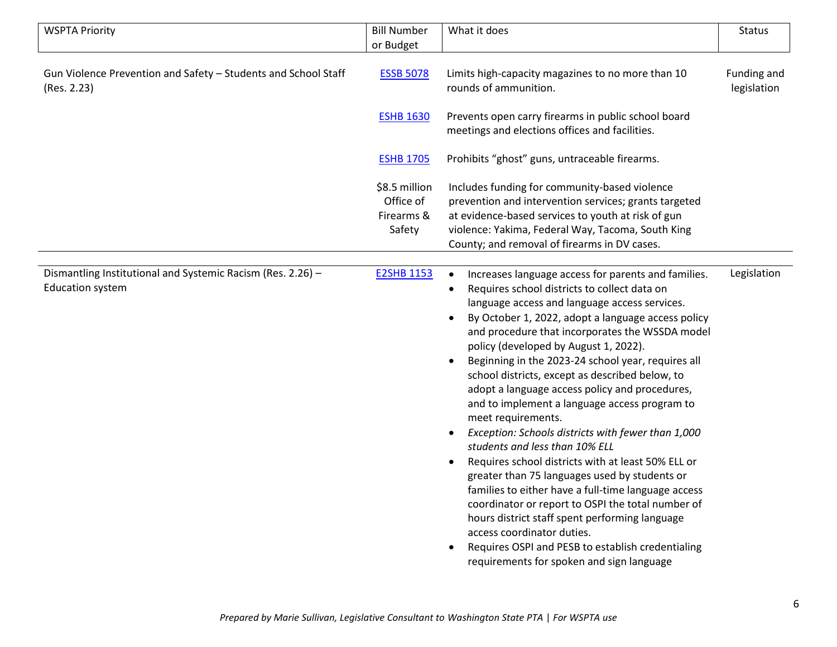| <b>WSPTA Priority</b>                                                                  | <b>Bill Number</b>                                 | What it does                                                                                                                                                                                                                                                                                                                                                                                                                                                                                                                                                                                                                                                                                                                                                                                                                                                                                                                                                                                                                          | <b>Status</b>              |
|----------------------------------------------------------------------------------------|----------------------------------------------------|---------------------------------------------------------------------------------------------------------------------------------------------------------------------------------------------------------------------------------------------------------------------------------------------------------------------------------------------------------------------------------------------------------------------------------------------------------------------------------------------------------------------------------------------------------------------------------------------------------------------------------------------------------------------------------------------------------------------------------------------------------------------------------------------------------------------------------------------------------------------------------------------------------------------------------------------------------------------------------------------------------------------------------------|----------------------------|
|                                                                                        | or Budget                                          |                                                                                                                                                                                                                                                                                                                                                                                                                                                                                                                                                                                                                                                                                                                                                                                                                                                                                                                                                                                                                                       |                            |
| Gun Violence Prevention and Safety - Students and School Staff<br>(Res. 2.23)          | <b>ESSB 5078</b>                                   | Limits high-capacity magazines to no more than 10<br>rounds of ammunition.                                                                                                                                                                                                                                                                                                                                                                                                                                                                                                                                                                                                                                                                                                                                                                                                                                                                                                                                                            | Funding and<br>legislation |
|                                                                                        | <b>ESHB 1630</b>                                   | Prevents open carry firearms in public school board<br>meetings and elections offices and facilities.                                                                                                                                                                                                                                                                                                                                                                                                                                                                                                                                                                                                                                                                                                                                                                                                                                                                                                                                 |                            |
|                                                                                        | <b>ESHB 1705</b>                                   | Prohibits "ghost" guns, untraceable firearms.                                                                                                                                                                                                                                                                                                                                                                                                                                                                                                                                                                                                                                                                                                                                                                                                                                                                                                                                                                                         |                            |
|                                                                                        | \$8.5 million<br>Office of<br>Firearms &<br>Safety | Includes funding for community-based violence<br>prevention and intervention services; grants targeted<br>at evidence-based services to youth at risk of gun<br>violence: Yakima, Federal Way, Tacoma, South King<br>County; and removal of firearms in DV cases.                                                                                                                                                                                                                                                                                                                                                                                                                                                                                                                                                                                                                                                                                                                                                                     |                            |
| Dismantling Institutional and Systemic Racism (Res. 2.26) -<br><b>Education system</b> | <b>E2SHB 1153</b>                                  | Increases language access for parents and families.<br>Requires school districts to collect data on<br>language access and language access services.<br>By October 1, 2022, adopt a language access policy<br>and procedure that incorporates the WSSDA model<br>policy (developed by August 1, 2022).<br>Beginning in the 2023-24 school year, requires all<br>school districts, except as described below, to<br>adopt a language access policy and procedures,<br>and to implement a language access program to<br>meet requirements.<br>Exception: Schools districts with fewer than 1,000<br>students and less than 10% ELL<br>Requires school districts with at least 50% ELL or<br>greater than 75 languages used by students or<br>families to either have a full-time language access<br>coordinator or report to OSPI the total number of<br>hours district staff spent performing language<br>access coordinator duties.<br>Requires OSPI and PESB to establish credentialing<br>requirements for spoken and sign language | Legislation                |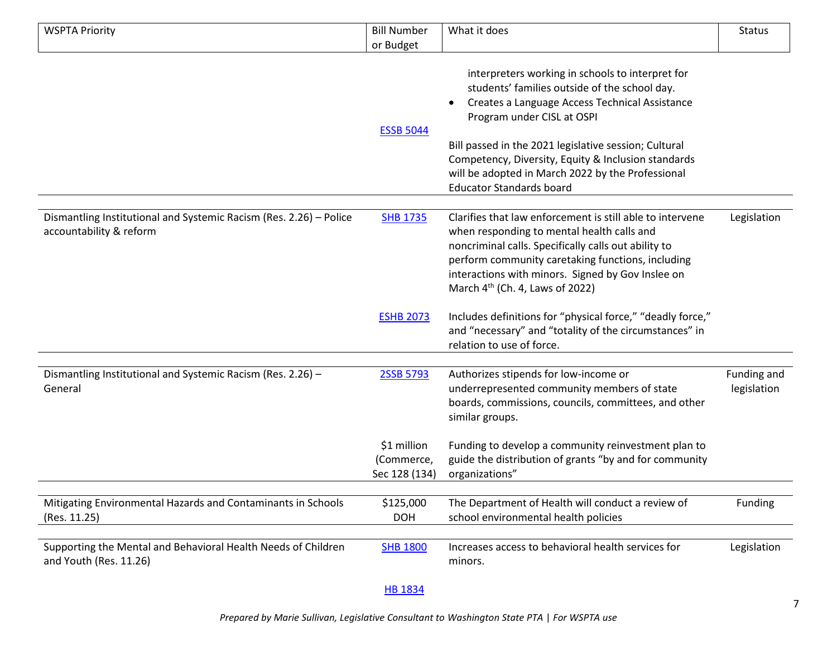| <b>WSPTA Priority</b>                                                                         | <b>Bill Number</b><br>or Budget            | What it does                                                                                                                                                                                                                                                                                                                                                                              | <b>Status</b>              |
|-----------------------------------------------------------------------------------------------|--------------------------------------------|-------------------------------------------------------------------------------------------------------------------------------------------------------------------------------------------------------------------------------------------------------------------------------------------------------------------------------------------------------------------------------------------|----------------------------|
|                                                                                               | <b>ESSB 5044</b>                           | interpreters working in schools to interpret for<br>students' families outside of the school day.<br>Creates a Language Access Technical Assistance<br>Program under CISL at OSPI<br>Bill passed in the 2021 legislative session; Cultural<br>Competency, Diversity, Equity & Inclusion standards<br>will be adopted in March 2022 by the Professional<br><b>Educator Standards board</b> |                            |
| Dismantling Institutional and Systemic Racism (Res. 2.26) - Police<br>accountability & reform | <b>SHB 1735</b>                            | Clarifies that law enforcement is still able to intervene<br>when responding to mental health calls and<br>noncriminal calls. Specifically calls out ability to<br>perform community caretaking functions, including<br>interactions with minors. Signed by Gov Inslee on<br>March 4 <sup>th</sup> (Ch. 4, Laws of 2022)                                                                  | Legislation                |
|                                                                                               | <b>ESHB 2073</b>                           | Includes definitions for "physical force," "deadly force,"<br>and "necessary" and "totality of the circumstances" in<br>relation to use of force.                                                                                                                                                                                                                                         |                            |
| Dismantling Institutional and Systemic Racism (Res. 2.26) -<br>General                        | 2SSB 5793                                  | Authorizes stipends for low-income or<br>underrepresented community members of state<br>boards, commissions, councils, committees, and other<br>similar groups.                                                                                                                                                                                                                           | Funding and<br>legislation |
|                                                                                               | \$1 million<br>(Commerce,<br>Sec 128 (134) | Funding to develop a community reinvestment plan to<br>guide the distribution of grants "by and for community<br>organizations"                                                                                                                                                                                                                                                           |                            |
| Mitigating Environmental Hazards and Contaminants in Schools<br>(Res. 11.25)                  | \$125,000<br><b>DOH</b>                    | The Department of Health will conduct a review of<br>school environmental health policies                                                                                                                                                                                                                                                                                                 | Funding                    |
| Supporting the Mental and Behavioral Health Needs of Children<br>and Youth (Res. 11.26)       | <b>SHB 1800</b>                            | Increases access to behavioral health services for<br>minors.                                                                                                                                                                                                                                                                                                                             | Legislation                |
|                                                                                               |                                            |                                                                                                                                                                                                                                                                                                                                                                                           |                            |

[HB 1834](https://app.leg.wa.gov/billsummary?BillNumber=1834&Initiative=false&Year=2021)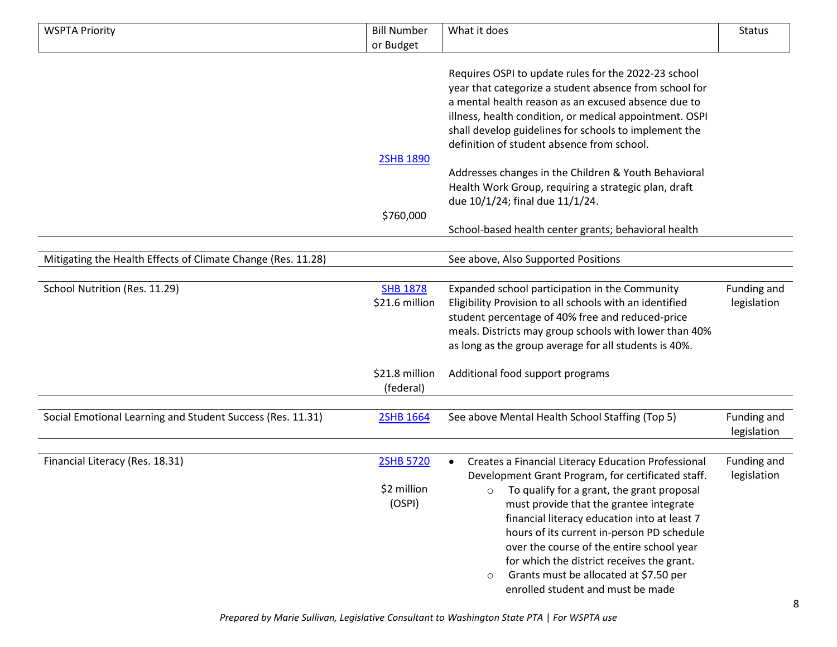| or Budget<br>Requires OSPI to update rules for the 2022-23 school<br>year that categorize a student absence from school for<br>a mental health reason as an excused absence due to<br>illness, health condition, or medical appointment. OSPI<br>shall develop guidelines for schools to implement the<br>definition of student absence from school.<br><b>2SHB 1890</b><br>Addresses changes in the Children & Youth Behavioral<br>Health Work Group, requiring a strategic plan, draft<br>due 10/1/24; final due 11/1/24.<br>\$760,000<br>School-based health center grants; behavioral health<br>Mitigating the Health Effects of Climate Change (Res. 11.28)<br>See above, Also Supported Positions<br>School Nutrition (Res. 11.29)<br><b>SHB 1878</b><br>Funding and<br>Expanded school participation in the Community<br>\$21.6 million<br>Eligibility Provision to all schools with an identified<br>legislation<br>student percentage of 40% free and reduced-price<br>meals. Districts may group schools with lower than 40%<br>as long as the group average for all students is 40%.<br>Additional food support programs<br>\$21.8 million<br>(federal)<br>Social Emotional Learning and Student Success (Res. 11.31)<br>See above Mental Health School Staffing (Top 5)<br>2SHB 1664<br>Funding and<br>legislation<br>Financial Literacy (Res. 18.31)<br><b>2SHB 5720</b><br>Funding and<br>Creates a Financial Literacy Education Professional | <b>WSPTA Priority</b> | <b>Bill Number</b> | What it does | <b>Status</b> |
|-------------------------------------------------------------------------------------------------------------------------------------------------------------------------------------------------------------------------------------------------------------------------------------------------------------------------------------------------------------------------------------------------------------------------------------------------------------------------------------------------------------------------------------------------------------------------------------------------------------------------------------------------------------------------------------------------------------------------------------------------------------------------------------------------------------------------------------------------------------------------------------------------------------------------------------------------------------------------------------------------------------------------------------------------------------------------------------------------------------------------------------------------------------------------------------------------------------------------------------------------------------------------------------------------------------------------------------------------------------------------------------------------------------------------------------------------------------|-----------------------|--------------------|--------------|---------------|
|                                                                                                                                                                                                                                                                                                                                                                                                                                                                                                                                                                                                                                                                                                                                                                                                                                                                                                                                                                                                                                                                                                                                                                                                                                                                                                                                                                                                                                                             |                       |                    |              |               |
|                                                                                                                                                                                                                                                                                                                                                                                                                                                                                                                                                                                                                                                                                                                                                                                                                                                                                                                                                                                                                                                                                                                                                                                                                                                                                                                                                                                                                                                             |                       |                    |              |               |
|                                                                                                                                                                                                                                                                                                                                                                                                                                                                                                                                                                                                                                                                                                                                                                                                                                                                                                                                                                                                                                                                                                                                                                                                                                                                                                                                                                                                                                                             |                       |                    |              |               |
|                                                                                                                                                                                                                                                                                                                                                                                                                                                                                                                                                                                                                                                                                                                                                                                                                                                                                                                                                                                                                                                                                                                                                                                                                                                                                                                                                                                                                                                             |                       |                    |              |               |
|                                                                                                                                                                                                                                                                                                                                                                                                                                                                                                                                                                                                                                                                                                                                                                                                                                                                                                                                                                                                                                                                                                                                                                                                                                                                                                                                                                                                                                                             |                       |                    |              |               |
|                                                                                                                                                                                                                                                                                                                                                                                                                                                                                                                                                                                                                                                                                                                                                                                                                                                                                                                                                                                                                                                                                                                                                                                                                                                                                                                                                                                                                                                             |                       |                    |              |               |
|                                                                                                                                                                                                                                                                                                                                                                                                                                                                                                                                                                                                                                                                                                                                                                                                                                                                                                                                                                                                                                                                                                                                                                                                                                                                                                                                                                                                                                                             |                       |                    |              |               |
|                                                                                                                                                                                                                                                                                                                                                                                                                                                                                                                                                                                                                                                                                                                                                                                                                                                                                                                                                                                                                                                                                                                                                                                                                                                                                                                                                                                                                                                             |                       |                    |              |               |
|                                                                                                                                                                                                                                                                                                                                                                                                                                                                                                                                                                                                                                                                                                                                                                                                                                                                                                                                                                                                                                                                                                                                                                                                                                                                                                                                                                                                                                                             |                       |                    |              |               |
|                                                                                                                                                                                                                                                                                                                                                                                                                                                                                                                                                                                                                                                                                                                                                                                                                                                                                                                                                                                                                                                                                                                                                                                                                                                                                                                                                                                                                                                             |                       |                    |              |               |
|                                                                                                                                                                                                                                                                                                                                                                                                                                                                                                                                                                                                                                                                                                                                                                                                                                                                                                                                                                                                                                                                                                                                                                                                                                                                                                                                                                                                                                                             |                       |                    |              |               |
|                                                                                                                                                                                                                                                                                                                                                                                                                                                                                                                                                                                                                                                                                                                                                                                                                                                                                                                                                                                                                                                                                                                                                                                                                                                                                                                                                                                                                                                             |                       |                    |              |               |
|                                                                                                                                                                                                                                                                                                                                                                                                                                                                                                                                                                                                                                                                                                                                                                                                                                                                                                                                                                                                                                                                                                                                                                                                                                                                                                                                                                                                                                                             |                       |                    |              |               |
|                                                                                                                                                                                                                                                                                                                                                                                                                                                                                                                                                                                                                                                                                                                                                                                                                                                                                                                                                                                                                                                                                                                                                                                                                                                                                                                                                                                                                                                             |                       |                    |              |               |
|                                                                                                                                                                                                                                                                                                                                                                                                                                                                                                                                                                                                                                                                                                                                                                                                                                                                                                                                                                                                                                                                                                                                                                                                                                                                                                                                                                                                                                                             |                       |                    |              |               |
|                                                                                                                                                                                                                                                                                                                                                                                                                                                                                                                                                                                                                                                                                                                                                                                                                                                                                                                                                                                                                                                                                                                                                                                                                                                                                                                                                                                                                                                             |                       |                    |              |               |
|                                                                                                                                                                                                                                                                                                                                                                                                                                                                                                                                                                                                                                                                                                                                                                                                                                                                                                                                                                                                                                                                                                                                                                                                                                                                                                                                                                                                                                                             |                       |                    |              |               |
|                                                                                                                                                                                                                                                                                                                                                                                                                                                                                                                                                                                                                                                                                                                                                                                                                                                                                                                                                                                                                                                                                                                                                                                                                                                                                                                                                                                                                                                             |                       |                    |              |               |
|                                                                                                                                                                                                                                                                                                                                                                                                                                                                                                                                                                                                                                                                                                                                                                                                                                                                                                                                                                                                                                                                                                                                                                                                                                                                                                                                                                                                                                                             |                       |                    |              |               |
|                                                                                                                                                                                                                                                                                                                                                                                                                                                                                                                                                                                                                                                                                                                                                                                                                                                                                                                                                                                                                                                                                                                                                                                                                                                                                                                                                                                                                                                             |                       |                    |              |               |
|                                                                                                                                                                                                                                                                                                                                                                                                                                                                                                                                                                                                                                                                                                                                                                                                                                                                                                                                                                                                                                                                                                                                                                                                                                                                                                                                                                                                                                                             |                       |                    |              |               |
|                                                                                                                                                                                                                                                                                                                                                                                                                                                                                                                                                                                                                                                                                                                                                                                                                                                                                                                                                                                                                                                                                                                                                                                                                                                                                                                                                                                                                                                             |                       |                    |              |               |
|                                                                                                                                                                                                                                                                                                                                                                                                                                                                                                                                                                                                                                                                                                                                                                                                                                                                                                                                                                                                                                                                                                                                                                                                                                                                                                                                                                                                                                                             |                       |                    |              |               |
|                                                                                                                                                                                                                                                                                                                                                                                                                                                                                                                                                                                                                                                                                                                                                                                                                                                                                                                                                                                                                                                                                                                                                                                                                                                                                                                                                                                                                                                             |                       |                    |              |               |
|                                                                                                                                                                                                                                                                                                                                                                                                                                                                                                                                                                                                                                                                                                                                                                                                                                                                                                                                                                                                                                                                                                                                                                                                                                                                                                                                                                                                                                                             |                       |                    |              |               |
|                                                                                                                                                                                                                                                                                                                                                                                                                                                                                                                                                                                                                                                                                                                                                                                                                                                                                                                                                                                                                                                                                                                                                                                                                                                                                                                                                                                                                                                             |                       |                    |              |               |
|                                                                                                                                                                                                                                                                                                                                                                                                                                                                                                                                                                                                                                                                                                                                                                                                                                                                                                                                                                                                                                                                                                                                                                                                                                                                                                                                                                                                                                                             |                       |                    |              |               |
|                                                                                                                                                                                                                                                                                                                                                                                                                                                                                                                                                                                                                                                                                                                                                                                                                                                                                                                                                                                                                                                                                                                                                                                                                                                                                                                                                                                                                                                             |                       |                    |              |               |
| Development Grant Program, for certificated staff.<br>legislation                                                                                                                                                                                                                                                                                                                                                                                                                                                                                                                                                                                                                                                                                                                                                                                                                                                                                                                                                                                                                                                                                                                                                                                                                                                                                                                                                                                           |                       |                    |              |               |
| \$2 million<br>To qualify for a grant, the grant proposal<br>$\circ$                                                                                                                                                                                                                                                                                                                                                                                                                                                                                                                                                                                                                                                                                                                                                                                                                                                                                                                                                                                                                                                                                                                                                                                                                                                                                                                                                                                        |                       |                    |              |               |
| (OSPI)<br>must provide that the grantee integrate                                                                                                                                                                                                                                                                                                                                                                                                                                                                                                                                                                                                                                                                                                                                                                                                                                                                                                                                                                                                                                                                                                                                                                                                                                                                                                                                                                                                           |                       |                    |              |               |
| financial literacy education into at least 7                                                                                                                                                                                                                                                                                                                                                                                                                                                                                                                                                                                                                                                                                                                                                                                                                                                                                                                                                                                                                                                                                                                                                                                                                                                                                                                                                                                                                |                       |                    |              |               |
| hours of its current in-person PD schedule                                                                                                                                                                                                                                                                                                                                                                                                                                                                                                                                                                                                                                                                                                                                                                                                                                                                                                                                                                                                                                                                                                                                                                                                                                                                                                                                                                                                                  |                       |                    |              |               |
| over the course of the entire school year                                                                                                                                                                                                                                                                                                                                                                                                                                                                                                                                                                                                                                                                                                                                                                                                                                                                                                                                                                                                                                                                                                                                                                                                                                                                                                                                                                                                                   |                       |                    |              |               |
| for which the district receives the grant.                                                                                                                                                                                                                                                                                                                                                                                                                                                                                                                                                                                                                                                                                                                                                                                                                                                                                                                                                                                                                                                                                                                                                                                                                                                                                                                                                                                                                  |                       |                    |              |               |
| Grants must be allocated at \$7.50 per<br>$\circ$                                                                                                                                                                                                                                                                                                                                                                                                                                                                                                                                                                                                                                                                                                                                                                                                                                                                                                                                                                                                                                                                                                                                                                                                                                                                                                                                                                                                           |                       |                    |              |               |
| enrolled student and must be made                                                                                                                                                                                                                                                                                                                                                                                                                                                                                                                                                                                                                                                                                                                                                                                                                                                                                                                                                                                                                                                                                                                                                                                                                                                                                                                                                                                                                           |                       |                    |              |               |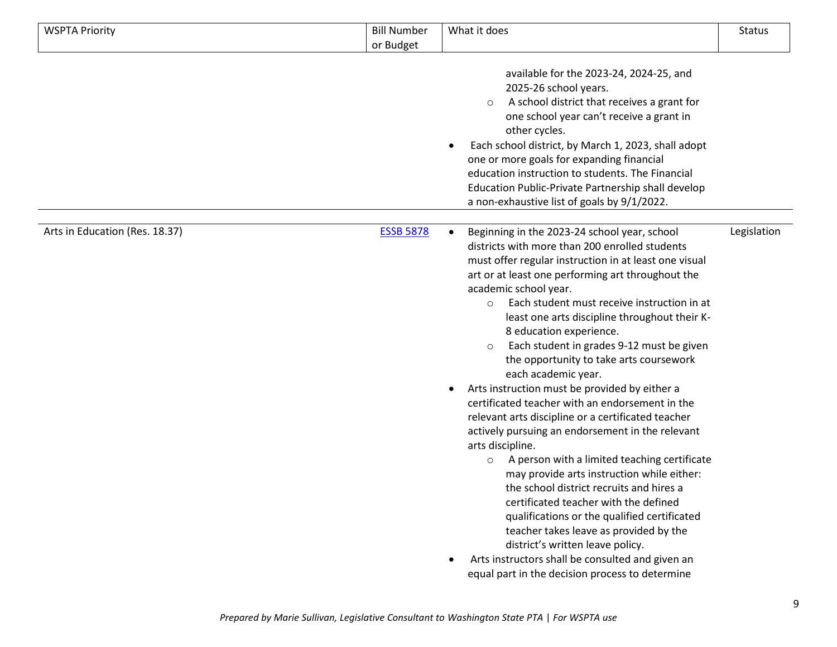| <b>WSPTA Priority</b>          | <b>Bill Number</b><br>or Budget | What it does                                                                                                                                                                                                                                                                                                                                                                                                                                                                                                                                                                                                                                                                                                                                                                                                                                                                                                                                                                                                                                                                                                                                                                                                      | <b>Status</b> |
|--------------------------------|---------------------------------|-------------------------------------------------------------------------------------------------------------------------------------------------------------------------------------------------------------------------------------------------------------------------------------------------------------------------------------------------------------------------------------------------------------------------------------------------------------------------------------------------------------------------------------------------------------------------------------------------------------------------------------------------------------------------------------------------------------------------------------------------------------------------------------------------------------------------------------------------------------------------------------------------------------------------------------------------------------------------------------------------------------------------------------------------------------------------------------------------------------------------------------------------------------------------------------------------------------------|---------------|
|                                |                                 | available for the 2023-24, 2024-25, and<br>2025-26 school years.<br>A school district that receives a grant for<br>$\circ$<br>one school year can't receive a grant in<br>other cycles.<br>Each school district, by March 1, 2023, shall adopt<br>$\bullet$<br>one or more goals for expanding financial<br>education instruction to students. The Financial<br>Education Public-Private Partnership shall develop<br>a non-exhaustive list of goals by 9/1/2022.                                                                                                                                                                                                                                                                                                                                                                                                                                                                                                                                                                                                                                                                                                                                                 |               |
| Arts in Education (Res. 18.37) | <b>ESSB 5878</b>                | Beginning in the 2023-24 school year, school<br>$\bullet$<br>districts with more than 200 enrolled students<br>must offer regular instruction in at least one visual<br>art or at least one performing art throughout the<br>academic school year.<br>Each student must receive instruction in at<br>$\circ$<br>least one arts discipline throughout their K-<br>8 education experience.<br>Each student in grades 9-12 must be given<br>$\circ$<br>the opportunity to take arts coursework<br>each academic year.<br>Arts instruction must be provided by either a<br>$\bullet$<br>certificated teacher with an endorsement in the<br>relevant arts discipline or a certificated teacher<br>actively pursuing an endorsement in the relevant<br>arts discipline.<br>A person with a limited teaching certificate<br>$\circ$<br>may provide arts instruction while either:<br>the school district recruits and hires a<br>certificated teacher with the defined<br>qualifications or the qualified certificated<br>teacher takes leave as provided by the<br>district's written leave policy.<br>Arts instructors shall be consulted and given an<br>$\bullet$<br>equal part in the decision process to determine | Legislation   |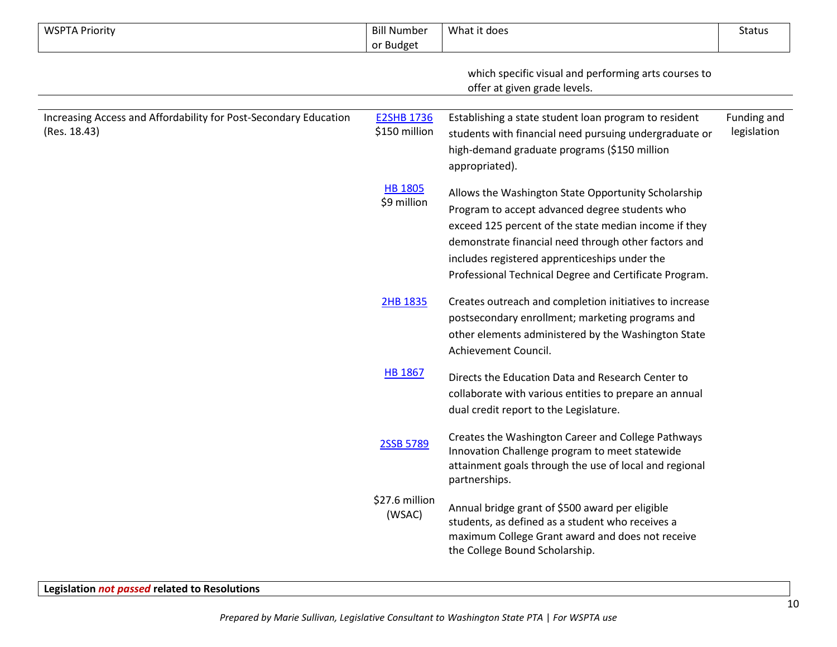| <b>WSPTA Priority</b>                                                            | <b>Bill Number</b>                 | What it does                                                                                                                                                                                                                                                                                                                      | <b>Status</b>              |
|----------------------------------------------------------------------------------|------------------------------------|-----------------------------------------------------------------------------------------------------------------------------------------------------------------------------------------------------------------------------------------------------------------------------------------------------------------------------------|----------------------------|
|                                                                                  | or Budget                          |                                                                                                                                                                                                                                                                                                                                   |                            |
|                                                                                  |                                    | which specific visual and performing arts courses to<br>offer at given grade levels.                                                                                                                                                                                                                                              |                            |
| Increasing Access and Affordability for Post-Secondary Education<br>(Res. 18.43) | <b>E2SHB 1736</b><br>\$150 million | Establishing a state student loan program to resident<br>students with financial need pursuing undergraduate or<br>high-demand graduate programs (\$150 million<br>appropriated).                                                                                                                                                 | Funding and<br>legislation |
|                                                                                  | <b>HB 1805</b><br>\$9 million      | Allows the Washington State Opportunity Scholarship<br>Program to accept advanced degree students who<br>exceed 125 percent of the state median income if they<br>demonstrate financial need through other factors and<br>includes registered apprenticeships under the<br>Professional Technical Degree and Certificate Program. |                            |
|                                                                                  | 2HB 1835                           | Creates outreach and completion initiatives to increase<br>postsecondary enrollment; marketing programs and<br>other elements administered by the Washington State<br>Achievement Council.                                                                                                                                        |                            |
|                                                                                  | <b>HB 1867</b>                     | Directs the Education Data and Research Center to<br>collaborate with various entities to prepare an annual<br>dual credit report to the Legislature.                                                                                                                                                                             |                            |
|                                                                                  | 2SSB 5789                          | Creates the Washington Career and College Pathways<br>Innovation Challenge program to meet statewide<br>attainment goals through the use of local and regional<br>partnerships.                                                                                                                                                   |                            |
|                                                                                  | \$27.6 million<br>(WSAC)           | Annual bridge grant of \$500 award per eligible<br>students, as defined as a student who receives a<br>maximum College Grant award and does not receive<br>the College Bound Scholarship.                                                                                                                                         |                            |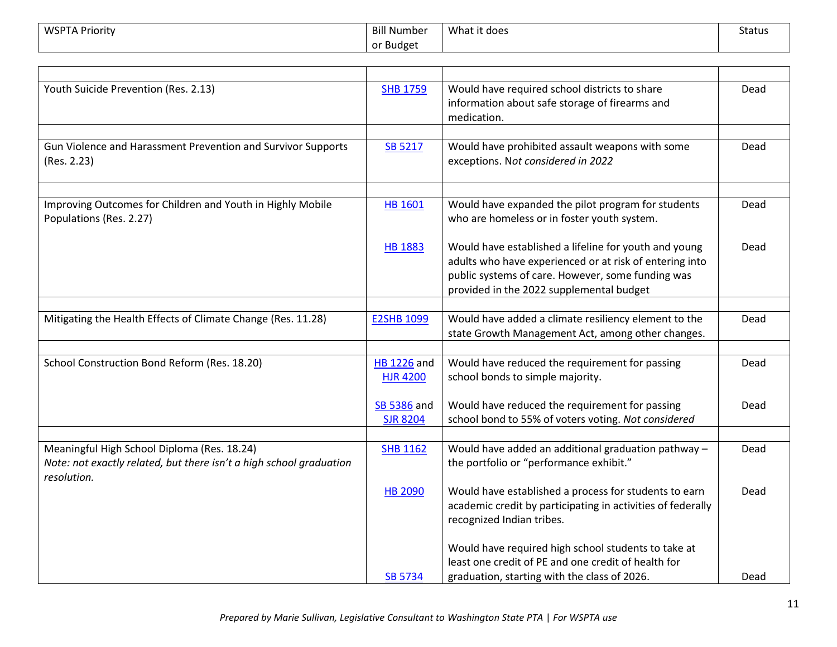| <b>WSPTA Priority</b> | <b>Bill Number</b> | What it does<br>. | <b>Status</b> |
|-----------------------|--------------------|-------------------|---------------|
|                       | or Budget          |                   |               |

| Youth Suicide Prevention (Res. 2.13)                                                                                              | <b>SHB 1759</b>                       | Would have required school districts to share<br>information about safe storage of firearms and<br>medication.                                                                                                    | Dead |
|-----------------------------------------------------------------------------------------------------------------------------------|---------------------------------------|-------------------------------------------------------------------------------------------------------------------------------------------------------------------------------------------------------------------|------|
|                                                                                                                                   |                                       |                                                                                                                                                                                                                   |      |
| Gun Violence and Harassment Prevention and Survivor Supports<br>(Res. 2.23)                                                       | <b>SB 5217</b>                        | Would have prohibited assault weapons with some<br>exceptions. Not considered in 2022                                                                                                                             | Dead |
|                                                                                                                                   |                                       |                                                                                                                                                                                                                   |      |
| Improving Outcomes for Children and Youth in Highly Mobile<br>Populations (Res. 2.27)                                             | <b>HB 1601</b>                        | Would have expanded the pilot program for students<br>who are homeless or in foster youth system.                                                                                                                 | Dead |
|                                                                                                                                   | <b>HB 1883</b>                        | Would have established a lifeline for youth and young<br>adults who have experienced or at risk of entering into<br>public systems of care. However, some funding was<br>provided in the 2022 supplemental budget | Dead |
|                                                                                                                                   |                                       |                                                                                                                                                                                                                   |      |
| Mitigating the Health Effects of Climate Change (Res. 11.28)                                                                      | <b>E2SHB 1099</b>                     | Would have added a climate resiliency element to the<br>state Growth Management Act, among other changes.                                                                                                         | Dead |
|                                                                                                                                   |                                       |                                                                                                                                                                                                                   |      |
| School Construction Bond Reform (Res. 18.20)                                                                                      | <b>HB 1226 and</b><br><b>HJR 4200</b> | Would have reduced the requirement for passing<br>school bonds to simple majority.                                                                                                                                | Dead |
|                                                                                                                                   | SB 5386 and<br><b>SJR 8204</b>        | Would have reduced the requirement for passing<br>school bond to 55% of voters voting. Not considered                                                                                                             | Dead |
|                                                                                                                                   |                                       |                                                                                                                                                                                                                   |      |
| Meaningful High School Diploma (Res. 18.24)<br>Note: not exactly related, but there isn't a high school graduation<br>resolution. | <b>SHB 1162</b>                       | Would have added an additional graduation pathway -<br>the portfolio or "performance exhibit."                                                                                                                    | Dead |
|                                                                                                                                   | <b>HB 2090</b>                        | Would have established a process for students to earn<br>academic credit by participating in activities of federally<br>recognized Indian tribes.                                                                 | Dead |
|                                                                                                                                   |                                       | Would have required high school students to take at<br>least one credit of PE and one credit of health for                                                                                                        |      |
|                                                                                                                                   | SB 5734                               | graduation, starting with the class of 2026.                                                                                                                                                                      | Dead |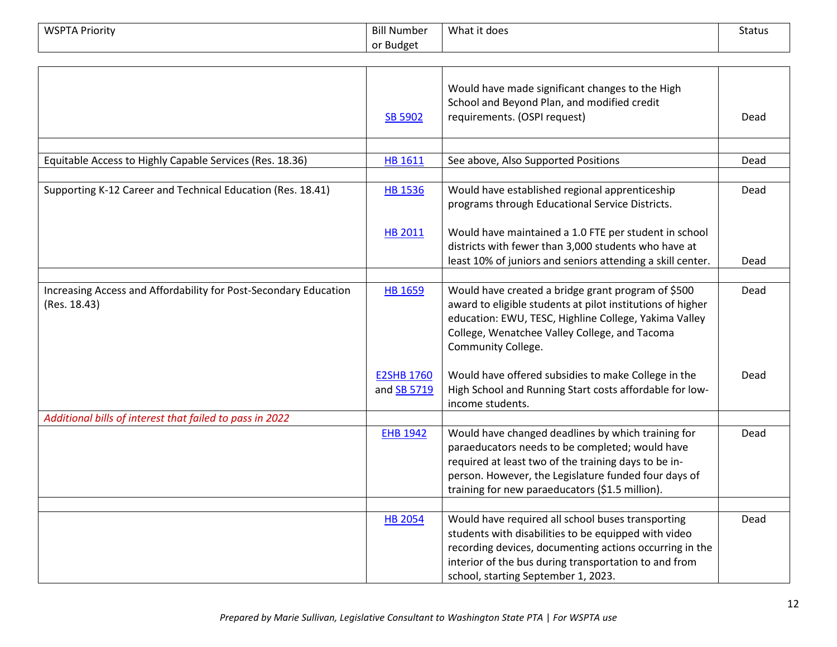| <b>WSPTA Priority</b>                                                            | <b>Bill Number</b>                      | What it does                                                                                                                                                                                                                                                             | <b>Status</b> |
|----------------------------------------------------------------------------------|-----------------------------------------|--------------------------------------------------------------------------------------------------------------------------------------------------------------------------------------------------------------------------------------------------------------------------|---------------|
|                                                                                  | or Budget                               |                                                                                                                                                                                                                                                                          |               |
|                                                                                  |                                         |                                                                                                                                                                                                                                                                          |               |
|                                                                                  | <b>SB 5902</b>                          | Would have made significant changes to the High<br>School and Beyond Plan, and modified credit<br>requirements. (OSPI request)                                                                                                                                           | Dead          |
| Equitable Access to Highly Capable Services (Res. 18.36)                         | <b>HB 1611</b>                          | See above, Also Supported Positions                                                                                                                                                                                                                                      | Dead          |
|                                                                                  |                                         |                                                                                                                                                                                                                                                                          |               |
| Supporting K-12 Career and Technical Education (Res. 18.41)                      | <b>HB 1536</b>                          | Would have established regional apprenticeship<br>programs through Educational Service Districts.                                                                                                                                                                        | Dead          |
|                                                                                  | HB 2011                                 | Would have maintained a 1.0 FTE per student in school<br>districts with fewer than 3,000 students who have at<br>least 10% of juniors and seniors attending a skill center.                                                                                              | Dead          |
|                                                                                  |                                         |                                                                                                                                                                                                                                                                          |               |
| Increasing Access and Affordability for Post-Secondary Education<br>(Res. 18.43) | <b>HB 1659</b>                          | Would have created a bridge grant program of \$500<br>award to eligible students at pilot institutions of higher<br>education: EWU, TESC, Highline College, Yakima Valley<br>College, Wenatchee Valley College, and Tacoma<br>Community College.                         | Dead          |
|                                                                                  | <b>E2SHB 1760</b><br>and <b>SB 5719</b> | Would have offered subsidies to make College in the<br>High School and Running Start costs affordable for low-<br>income students.                                                                                                                                       | Dead          |
| Additional bills of interest that failed to pass in 2022                         |                                         |                                                                                                                                                                                                                                                                          |               |
|                                                                                  | <b>EHB 1942</b>                         | Would have changed deadlines by which training for<br>paraeducators needs to be completed; would have<br>required at least two of the training days to be in-<br>person. However, the Legislature funded four days of<br>training for new paraeducators (\$1.5 million). | Dead          |
|                                                                                  |                                         |                                                                                                                                                                                                                                                                          |               |
|                                                                                  | <b>HB 2054</b>                          | Would have required all school buses transporting<br>students with disabilities to be equipped with video<br>recording devices, documenting actions occurring in the<br>interior of the bus during transportation to and from<br>school, starting September 1, 2023.     | Dead          |